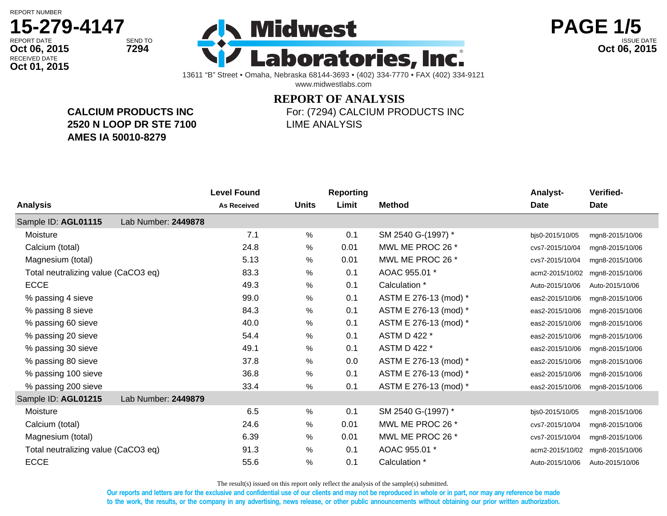**Oct 01, 2015**

## RECEIVED DATE **15-279-4147**





13611 "B" Street • Omaha, Nebraska 68144-3693 • (402) 334-7770 • FAX (402) 334-9121 www.midwestlabs.com

## **REPORT OF ANALYSIS**

**CALCIUM PRODUCTS INC 2520 N LOOP DR STE 7100 AMES IA 50010-8279**

For: (7294) CALCIUM PRODUCTS INC LIME ANALYSIS

|                                            |                     | <b>Level Found</b> |              | <b>Reporting</b> |                       | Analyst-        | Verified-       |
|--------------------------------------------|---------------------|--------------------|--------------|------------------|-----------------------|-----------------|-----------------|
| <b>Analysis</b>                            |                     | <b>As Received</b> | <b>Units</b> | Limit            | <b>Method</b>         | <b>Date</b>     | <b>Date</b>     |
| Sample ID: AGL01115                        | Lab Number: 2449878 |                    |              |                  |                       |                 |                 |
| Moisture                                   |                     | 7.1                | %            | 0.1              | SM 2540 G-(1997) *    | bjs0-2015/10/05 | mgn8-2015/10/06 |
| Calcium (total)                            |                     | 24.8               | %            | 0.01             | MWL ME PROC 26 *      | cvs7-2015/10/04 | mgn8-2015/10/06 |
| Magnesium (total)                          |                     | 5.13               | $\%$         | 0.01             | MWL ME PROC 26 *      | cvs7-2015/10/04 | mgn8-2015/10/06 |
| Total neutralizing value (CaCO3 eq)        |                     | 83.3               | $\%$         | 0.1              | AOAC 955.01 *         | acm2-2015/10/02 | mgn8-2015/10/06 |
| <b>ECCE</b>                                |                     | 49.3               | %            | 0.1              | Calculation *         | Auto-2015/10/06 | Auto-2015/10/06 |
| % passing 4 sieve                          |                     | 99.0               | %            | 0.1              | ASTM E 276-13 (mod) * | eas2-2015/10/06 | mgn8-2015/10/06 |
| % passing 8 sieve                          |                     | 84.3               | $\%$         | 0.1              | ASTM E 276-13 (mod) * | eas2-2015/10/06 | mgn8-2015/10/06 |
| % passing 60 sieve                         |                     | 40.0               | $\%$         | 0.1              | ASTM E 276-13 (mod) * | eas2-2015/10/06 | mgn8-2015/10/06 |
| % passing 20 sieve                         |                     | 54.4               | %            | 0.1              | ASTM D 422 *          | eas2-2015/10/06 | mgn8-2015/10/06 |
| % passing 30 sieve                         |                     | 49.1               | $\%$         | 0.1              | ASTM D 422 *          | eas2-2015/10/06 | mgn8-2015/10/06 |
| % passing 80 sieve                         |                     | 37.8               | $\%$         | 0.0              | ASTM E 276-13 (mod) * | eas2-2015/10/06 | mgn8-2015/10/06 |
| % passing 100 sieve                        |                     | 36.8               | $\%$         | 0.1              | ASTM E 276-13 (mod) * | eas2-2015/10/06 | mgn8-2015/10/06 |
| % passing 200 sieve                        |                     | 33.4               | $\%$         | 0.1              | ASTM E 276-13 (mod) * | eas2-2015/10/06 | mgn8-2015/10/06 |
| Sample ID: AGL01215<br>Lab Number: 2449879 |                     |                    |              |                  |                       |                 |                 |
| Moisture                                   |                     | 6.5                | %            | 0.1              | SM 2540 G-(1997) *    | bjs0-2015/10/05 | mgn8-2015/10/06 |
| Calcium (total)                            |                     | 24.6               | %            | 0.01             | MWL ME PROC 26 *      | cvs7-2015/10/04 | mgn8-2015/10/06 |
| Magnesium (total)                          |                     | 6.39               | %            | 0.01             | MWL ME PROC 26 *      | cvs7-2015/10/04 | mgn8-2015/10/06 |
| Total neutralizing value (CaCO3 eq)        |                     | 91.3               | %            | 0.1              | AOAC 955.01 *         | acm2-2015/10/02 | mgn8-2015/10/06 |
| <b>ECCE</b>                                |                     | 55.6               | %            | 0.1              | Calculation *         | Auto-2015/10/06 | Auto-2015/10/06 |

The result(s) issued on this report only reflect the analysis of the sample(s) submitted.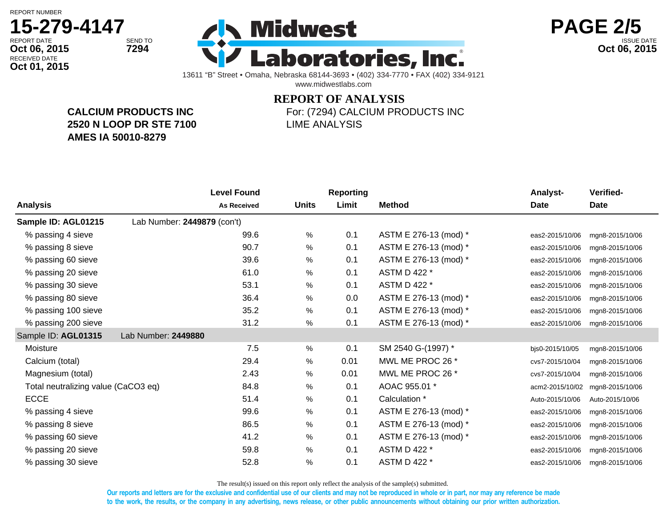**Oct 01, 2015**

## RECEIVED DATE **15-279-4147**





13611 "B" Street • Omaha, Nebraska 68144-3693 • (402) 334-7770 • FAX (402) 334-9121 www.midwestlabs.com

## **REPORT OF ANALYSIS**

**CALCIUM PRODUCTS INC 2520 N LOOP DR STE 7100 AMES IA 50010-8279**

For: (7294) CALCIUM PRODUCTS INC LIME ANALYSIS

|                                     | <b>Level Found</b>          |              | <b>Reporting</b> |                       | Analyst-        | Verified-       |
|-------------------------------------|-----------------------------|--------------|------------------|-----------------------|-----------------|-----------------|
| <b>Analysis</b>                     | <b>As Received</b>          | <b>Units</b> | Limit            | <b>Method</b>         | Date            | <b>Date</b>     |
| Sample ID: AGL01215                 | Lab Number: 2449879 (con't) |              |                  |                       |                 |                 |
| % passing 4 sieve                   | 99.6                        | $\%$         | 0.1              | ASTM E 276-13 (mod) * | eas2-2015/10/06 | mgn8-2015/10/06 |
| % passing 8 sieve                   | 90.7                        | %            | 0.1              | ASTM E 276-13 (mod) * | eas2-2015/10/06 | mgn8-2015/10/06 |
| % passing 60 sieve                  | 39.6                        | %            | 0.1              | ASTM E 276-13 (mod) * | eas2-2015/10/06 | mgn8-2015/10/06 |
| % passing 20 sieve                  | 61.0                        | %            | 0.1              | ASTM D 422 *          | eas2-2015/10/06 | mgn8-2015/10/06 |
| % passing 30 sieve                  | 53.1                        | %            | 0.1              | ASTM D 422 *          | eas2-2015/10/06 | mgn8-2015/10/06 |
| % passing 80 sieve                  | 36.4                        | %            | 0.0              | ASTM E 276-13 (mod) * | eas2-2015/10/06 | mgn8-2015/10/06 |
| % passing 100 sieve                 | 35.2                        | %            | 0.1              | ASTM E 276-13 (mod) * | eas2-2015/10/06 | mgn8-2015/10/06 |
| % passing 200 sieve                 | 31.2                        | $\%$         | 0.1              | ASTM E 276-13 (mod) * | eas2-2015/10/06 | mgn8-2015/10/06 |
| Sample ID: AGL01315                 | Lab Number: 2449880         |              |                  |                       |                 |                 |
| Moisture                            | 7.5                         | %            | 0.1              | SM 2540 G-(1997) *    | bjs0-2015/10/05 | mgn8-2015/10/06 |
| Calcium (total)                     | 29.4                        | %            | 0.01             | MWL ME PROC 26 *      | cvs7-2015/10/04 | mgn8-2015/10/06 |
| Magnesium (total)                   | 2.43                        | %            | 0.01             | MWL ME PROC 26 *      | cvs7-2015/10/04 | mgn8-2015/10/06 |
| Total neutralizing value (CaCO3 eq) | 84.8                        | %            | 0.1              | AOAC 955.01 *         | acm2-2015/10/02 | mgn8-2015/10/06 |
| <b>ECCE</b>                         | 51.4                        | $\%$         | 0.1              | Calculation *         | Auto-2015/10/06 | Auto-2015/10/06 |
| % passing 4 sieve                   | 99.6                        | $\%$         | 0.1              | ASTM E 276-13 (mod) * | eas2-2015/10/06 | mgn8-2015/10/06 |
| % passing 8 sieve                   | 86.5                        | %            | 0.1              | ASTM E 276-13 (mod) * | eas2-2015/10/06 | mgn8-2015/10/06 |
| % passing 60 sieve                  | 41.2                        | %            | 0.1              | ASTM E 276-13 (mod) * | eas2-2015/10/06 | mgn8-2015/10/06 |
| % passing 20 sieve                  | 59.8                        | $\%$         | 0.1              | ASTM D 422 *          | eas2-2015/10/06 | mgn8-2015/10/06 |
| % passing 30 sieve                  | 52.8                        | %            | 0.1              | ASTM D 422 *          | eas2-2015/10/06 | mgn8-2015/10/06 |
|                                     |                             |              |                  |                       |                 |                 |

The result(s) issued on this report only reflect the analysis of the sample(s) submitted.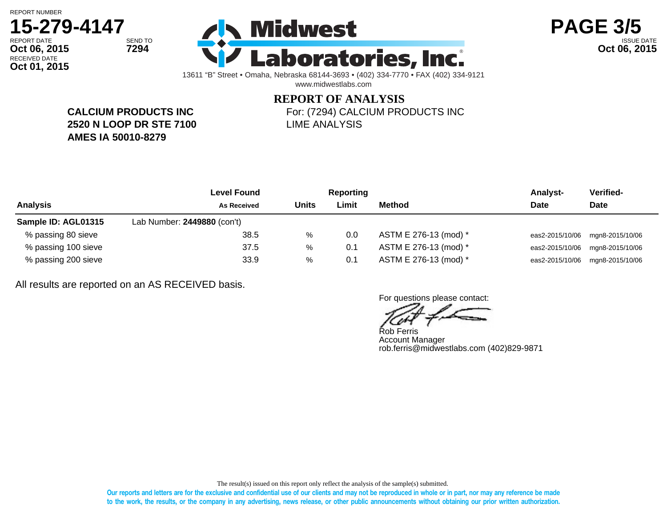## RECEIVED DATE **15-279-4147 Oct 01, 2015**





13611 "B" Street • Omaha, Nebraska 68144-3693 • (402) 334-7770 • FAX (402) 334-9121 www.midwestlabs.com

# **REPORT OF ANALYSIS**

**CALCIUM PRODUCTS INC 2520 N LOOP DR STE 7100 AMES IA 50010-8279**

For: (7294) CALCIUM PRODUCTS INC LIME ANALYSIS

|                     | Level Found                 |              | <b>Reporting</b> |                       | <b>Analyst-</b> | Verified-                       |
|---------------------|-----------------------------|--------------|------------------|-----------------------|-----------------|---------------------------------|
| <b>Analysis</b>     | <b>As Received</b>          | <b>Units</b> | Limit            | Method                | Date            | <b>Date</b>                     |
| Sample ID: AGL01315 | Lab Number: 2449880 (con't) |              |                  |                       |                 |                                 |
| % passing 80 sieve  | 38.5                        | %            | 0.0              | ASTM E 276-13 (mod) * |                 | eas2-2015/10/06 mgn8-2015/10/06 |
| % passing 100 sieve | 37.5                        | %            | 0.1              | ASTM E 276-13 (mod) * |                 | eas2-2015/10/06 mgn8-2015/10/06 |
| % passing 200 sieve | 33.9                        | %            | 0.1              | ASTM E 276-13 (mod) * | eas2-2015/10/06 | mgn8-2015/10/06                 |

All results are reported on an AS RECEIVED basis.

For questions please contact:

Rob Ferris Account Manager rob.ferris@midwestlabs.com (402)829-9871

The result(s) issued on this report only reflect the analysis of the sample(s) submitted.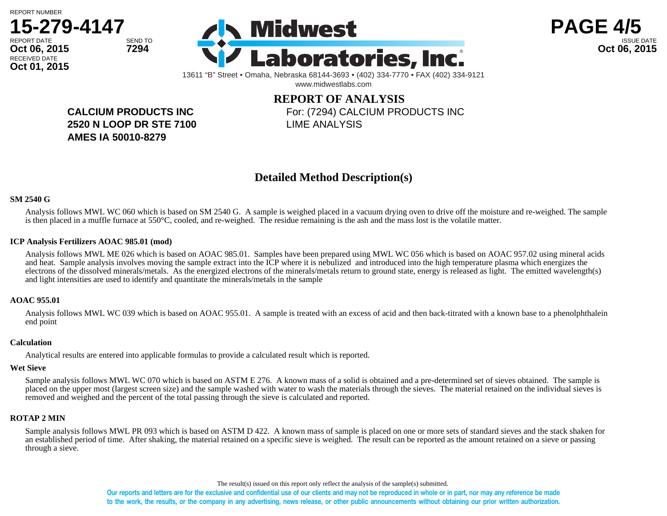





13611 "B" Street • Omaha, Nebraska 68144-3693 • (402) 334-7770 • FAX (402) 334-9121 www.midwestlabs.com

> **REPORT OF ANALYSIS** For: (7294) CALCIUM PRODUCTS INC LIME ANALYSIS

**CALCIUM PRODUCTS INC 2520 N LOOP DR STE 7100 AMES IA 50010-8279**

### **Detailed Method Description(s)**

#### **SM 2540 G**

Analysis follows MWL WC 060 which is based on SM 2540 G. A sample is weighed placed in a vacuum drying oven to drive off the moisture and re-weighed. The sample is then placed in a muffle furnace at 550°C, cooled, and re-weighed. The residue remaining is the ash and the mass lost is the volatile matter.

#### **ICP Analysis Fertilizers AOAC 985.01 (mod)**

Analysis follows MWL ME 026 which is based on AOAC 985.01. Samples have been prepared using MWL WC 056 which is based on AOAC 957.02 using mineral acids and heat. Sample analysis involves moving the sample extract into the ICP where it is nebulized and introduced into the high temperature plasma which energizes the electrons of the dissolved minerals/metals. As the energized electrons of the minerals/metals return to ground state, energy is released as light. The emitted wavelength(s) and light intensities are used to identify and quantitate the minerals/metals in the sample

#### **AOAC 955.01**

Analysis follows MWL WC 039 which is based on AOAC 955.01. A sample is treated with an excess of acid and then back-titrated with a known base to a phenolphthalein end point

#### **Calculation**

Analytical results are entered into applicable formulas to provide a calculated result which is reported.

#### **Wet Sieve**

Sample analysis follows MWL WC 070 which is based on ASTM E 276. A known mass of a solid is obtained and a pre-determined set of sieves obtained. The sample is placed on the upper most (largest screen size) and the sample washed with water to wash the materials through the sieves. The material retained on the individual sieves is removed and weighed and the percent of the total passing through the sieve is calculated and reported.

#### **ROTAP 2 MIN**

Sample analysis follows MWL PR 093 which is based on ASTM D 422. A known mass of sample is placed on one or more sets of standard sieves and the stack shaken for an established period of time. After shaking, the material retained on a specific sieve is weighed. The result can be reported as the amount retained on a sieve or passing through a sieve.

The result(s) issued on this report only reflect the analysis of the sample(s) submitted.